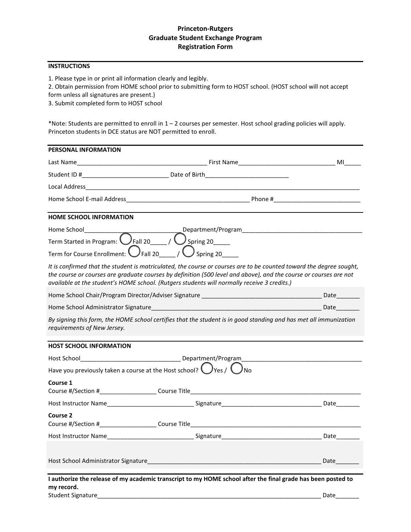### **Princeton-Rutgers Graduate Student Exchange Program Registration Form**

#### **INSTRUCTIONS**

1. Please type in or print all information clearly and legibly.

2. Obtain permission from HOME school prior to submitting form to HOST school. (HOST school will not accept form unless all signatures are present.)

3. Submit completed form to HOST school

\*Note: Students are permitted to enroll in 1 – 2 courses per semester. Host school grading policies will apply. Princeton students in DCE status are NOT permitted to enroll.

| PERSONAL INFORMATION                                                                                                     |                                                                                                                                                                                                                                                                                                                                         |      |
|--------------------------------------------------------------------------------------------------------------------------|-----------------------------------------------------------------------------------------------------------------------------------------------------------------------------------------------------------------------------------------------------------------------------------------------------------------------------------------|------|
|                                                                                                                          |                                                                                                                                                                                                                                                                                                                                         |      |
|                                                                                                                          |                                                                                                                                                                                                                                                                                                                                         |      |
|                                                                                                                          |                                                                                                                                                                                                                                                                                                                                         |      |
|                                                                                                                          |                                                                                                                                                                                                                                                                                                                                         |      |
| <b>HOME SCHOOL INFORMATION</b>                                                                                           |                                                                                                                                                                                                                                                                                                                                         |      |
| Home School__________                                                                                                    |                                                                                                                                                                                                                                                                                                                                         |      |
| Term Started in Program: $\overline{\bigcirc_{\text{Fall }20,\ldots}}$ / $\overline{\bigcirc_{\text{Spring }20,\ldots}}$ |                                                                                                                                                                                                                                                                                                                                         |      |
|                                                                                                                          | Term for Course Enrollment: $\bigcup$ Fall 20 _____ / $\bigcup$ Spring 20                                                                                                                                                                                                                                                               |      |
|                                                                                                                          | It is confirmed that the student is matriculated, the course or courses are to be counted toward the degree sought,<br>the course or courses are graduate courses by definition (500 level and above), and the course or courses are not<br>available at the student's HOME school. (Rutgers students will normally receive 3 credits.) |      |
|                                                                                                                          |                                                                                                                                                                                                                                                                                                                                         |      |
|                                                                                                                          |                                                                                                                                                                                                                                                                                                                                         | Date |
| requirements of New Jersey.                                                                                              | By signing this form, the HOME school certifies that the student is in good standing and has met all immunization                                                                                                                                                                                                                       |      |
| <b>HOST SCHOOL INFORMATION</b>                                                                                           |                                                                                                                                                                                                                                                                                                                                         |      |
|                                                                                                                          |                                                                                                                                                                                                                                                                                                                                         |      |
|                                                                                                                          | Have you previously taken a course at the Host school? $\bigcup$ Yes / $\bigcup$                                                                                                                                                                                                                                                        |      |
| Course 1                                                                                                                 | Course #/Section #______________________Course Title_____________________________                                                                                                                                                                                                                                                       |      |
|                                                                                                                          |                                                                                                                                                                                                                                                                                                                                         |      |
| Course 2                                                                                                                 |                                                                                                                                                                                                                                                                                                                                         |      |
|                                                                                                                          |                                                                                                                                                                                                                                                                                                                                         |      |
|                                                                                                                          |                                                                                                                                                                                                                                                                                                                                         |      |
| Host School Administrator Signature                                                                                      |                                                                                                                                                                                                                                                                                                                                         | Date |
| my record.<br><b>Student Signature</b>                                                                                   | I authorize the release of my academic transcript to my HOME school after the final grade has been posted to                                                                                                                                                                                                                            | Date |